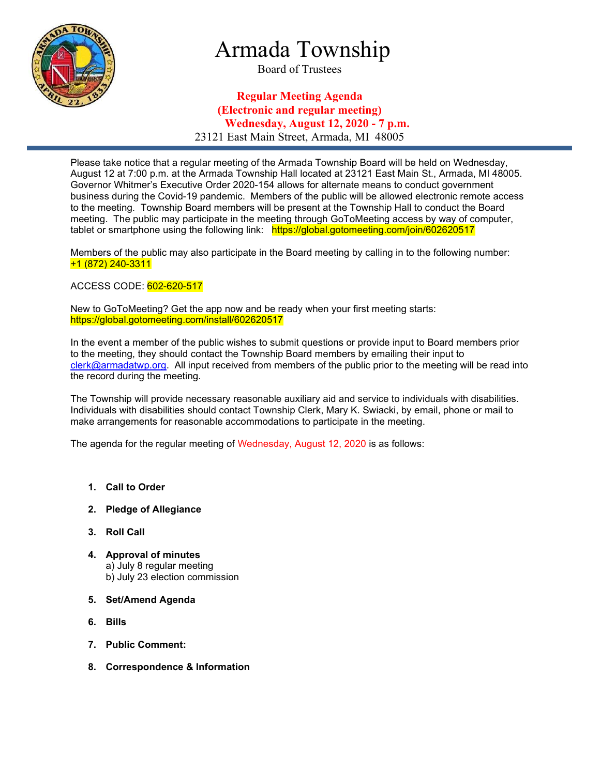

# Armada Township

Board of Trustees

### Regular Meeting Agenda (Electronic and regular meeting) Wednesday, August 12, 2020 - 7 p.m. 23121 East Main Street, Armada, MI 48005

Please take notice that a regular meeting of the Armada Township Board will be held on Wednesday, August 12 at 7:00 p.m. at the Armada Township Hall located at 23121 East Main St., Armada, MI 48005. Governor Whitmer's Executive Order 2020-154 allows for alternate means to conduct government business during the Covid-19 pandemic. Members of the public will be allowed electronic remote access to the meeting. Township Board members will be present at the Township Hall to conduct the Board meeting. The public may participate in the meeting through GoToMeeting access by way of computer, tablet or smartphone using the following link: https://global.gotomeeting.com/join/602620517

Members of the public may also participate in the Board meeting by calling in to the following number: +1 (872) 240-3311

ACCESS CODE: 602-620-517

New to GoToMeeting? Get the app now and be ready when your first meeting starts: https://global.gotomeeting.com/install/602620517

In the event a member of the public wishes to submit questions or provide input to Board members prior to the meeting, they should contact the Township Board members by emailing their input to clerk@armadatwp.org. All input received from members of the public prior to the meeting will be read into the record during the meeting.

The Township will provide necessary reasonable auxiliary aid and service to individuals with disabilities. Individuals with disabilities should contact Township Clerk, Mary K. Swiacki, by email, phone or mail to make arrangements for reasonable accommodations to participate in the meeting.

The agenda for the regular meeting of Wednesday, August 12, 2020 is as follows:

- 1. Call to Order
- 2. Pledge of Allegiance
- 3. Roll Call
- 4. Approval of minutes a) July 8 regular meeting b) July 23 election commission
- 5. Set/Amend Agenda
- 6. Bills
- 7. Public Comment:
- 8. Correspondence & Information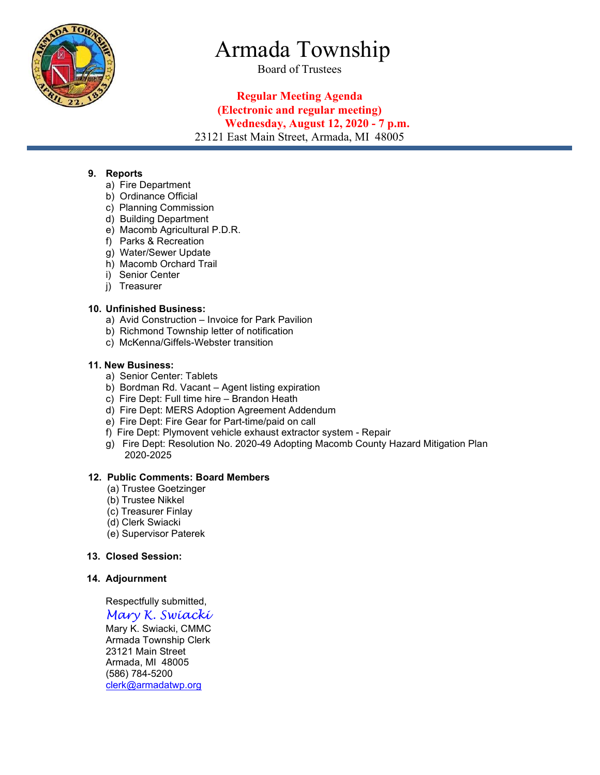

# Armada Township

Board of Trustees

### Regular Meeting Agenda (Electronic and regular meeting) Wednesday, August 12, 2020 - 7 p.m. 23121 East Main Street, Armada, MI 48005

9. Reports

- a) Fire Department
- b) Ordinance Official
- c) Planning Commission
- d) Building Department
- e) Macomb Agricultural P.D.R.
- f) Parks & Recreation
- g) Water/Sewer Update
- h) Macomb Orchard Trail
- i) Senior Center
- j) Treasurer

#### 10. Unfinished Business:

- a) Avid Construction Invoice for Park Pavilion
- b) Richmond Township letter of notification
- c) McKenna/Giffels-Webster transition

#### 11. New Business:

- a) Senior Center: Tablets
- b) Bordman Rd. Vacant Agent listing expiration
- c) Fire Dept: Full time hire Brandon Heath
- d) Fire Dept: MERS Adoption Agreement Addendum
- e) Fire Dept: Fire Gear for Part-time/paid on call
- f) Fire Dept: Plymovent vehicle exhaust extractor system Repair
- g) Fire Dept: Resolution No. 2020-49 Adopting Macomb County Hazard Mitigation Plan 2020-2025

#### 12. Public Comments: Board Members

- (a) Trustee Goetzinger
- (b) Trustee Nikkel
- (c) Treasurer Finlay
- (d) Clerk Swiacki
- (e) Supervisor Paterek

#### 13. Closed Session:

#### 14. Adjournment

Respectfully submitted,

#### Mary K. Swiacki Mary K. Swiacki, CMMC Armada Township Clerk 23121 Main Street Armada, MI 48005

 (586) 784-5200 clerk@armadatwp.org